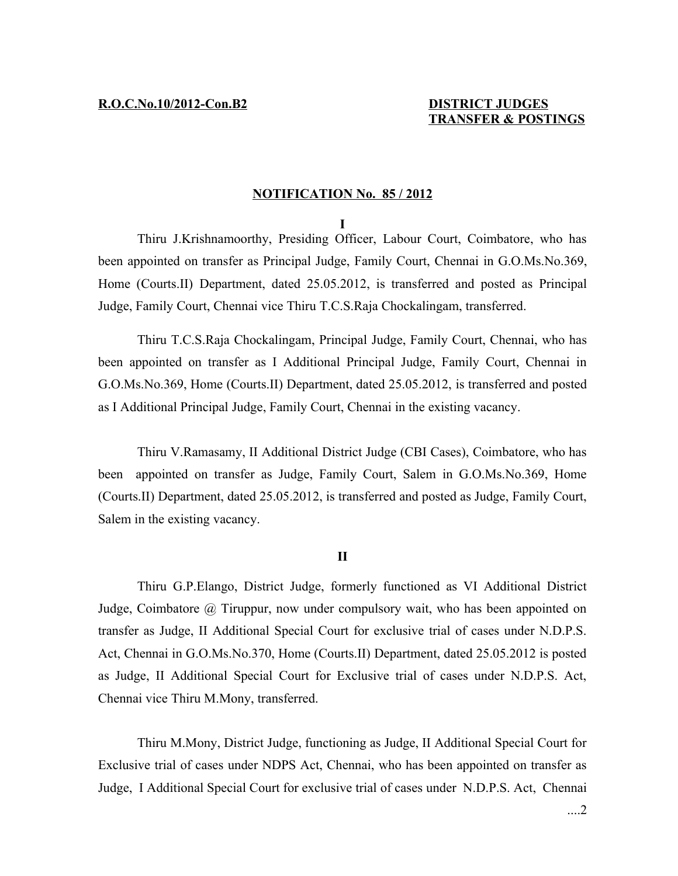## **NOTIFICATION No. 85 / 2012**

## **I**

Thiru J.Krishnamoorthy, Presiding Officer, Labour Court, Coimbatore, who has been appointed on transfer as Principal Judge, Family Court, Chennai in G.O.Ms.No.369, Home (Courts.II) Department, dated 25.05.2012, is transferred and posted as Principal Judge, Family Court, Chennai vice Thiru T.C.S.Raja Chockalingam, transferred.

Thiru T.C.S.Raja Chockalingam, Principal Judge, Family Court, Chennai, who has been appointed on transfer as I Additional Principal Judge, Family Court, Chennai in G.O.Ms.No.369, Home (Courts.II) Department, dated 25.05.2012, is transferred and posted as I Additional Principal Judge, Family Court, Chennai in the existing vacancy.

Thiru V.Ramasamy, II Additional District Judge (CBI Cases), Coimbatore, who has been appointed on transfer as Judge, Family Court, Salem in G.O.Ms.No.369, Home (Courts.II) Department, dated 25.05.2012, is transferred and posted as Judge, Family Court, Salem in the existing vacancy.

## **II**

Thiru G.P.Elango, District Judge, formerly functioned as VI Additional District Judge, Coimbatore @ Tiruppur, now under compulsory wait, who has been appointed on transfer as Judge, II Additional Special Court for exclusive trial of cases under N.D.P.S. Act, Chennai in G.O.Ms.No.370, Home (Courts.II) Department, dated 25.05.2012 is posted as Judge, II Additional Special Court for Exclusive trial of cases under N.D.P.S. Act, Chennai vice Thiru M.Mony, transferred.

Thiru M.Mony, District Judge, functioning as Judge, II Additional Special Court for Exclusive trial of cases under NDPS Act, Chennai, who has been appointed on transfer as Judge, I Additional Special Court for exclusive trial of cases under N.D.P.S. Act, Chennai

....2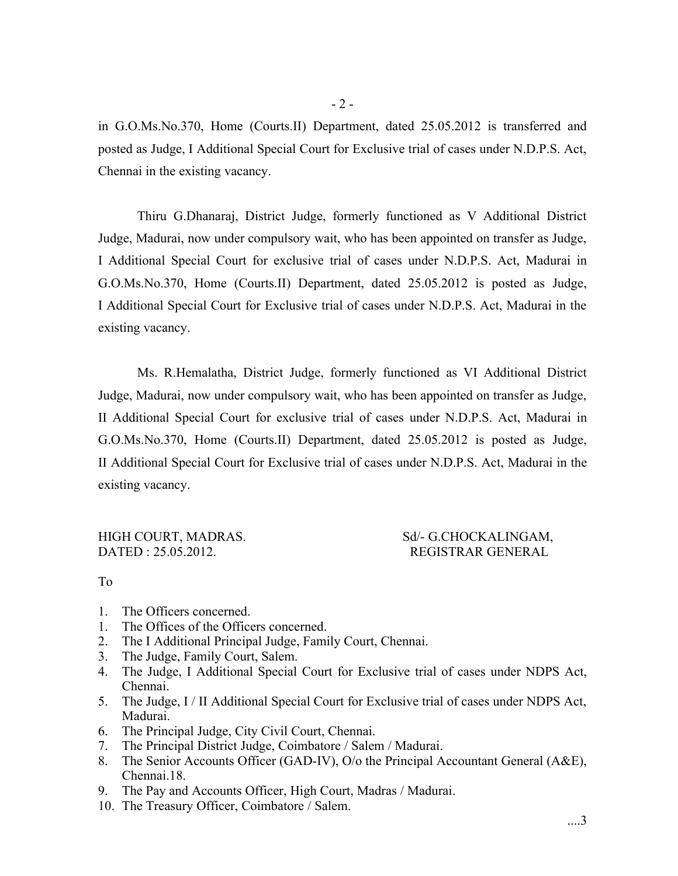in G.O.Ms.No.370, Home (Courts.II) Department, dated 25.05.2012 is transferred and posted as Judge, I Additional Special Court for Exclusive trial of cases under N.D.P.S. Act, Chennai in the existing vacancy.

Thiru G.Dhanaraj, District Judge, formerly functioned as V Additional District Judge, Madurai, now under compulsory wait, who has been appointed on transfer as Judge, I Additional Special Court for exclusive trial of cases under N.D.P.S. Act, Madurai in G.O.Ms.No.370, Home (Courts.II) Department, dated 25.05.2012 is posted as Judge, I Additional Special Court for Exclusive trial of cases under N.D.P.S. Act, Madurai in the existing vacancy.

Ms. R.Hemalatha, District Judge, formerly functioned as VI Additional District Judge, Madurai, now under compulsory wait, who has been appointed on transfer as Judge, II Additional Special Court for exclusive trial of cases under N.D.P.S. Act, Madurai in G.O.Ms.No.370, Home (Courts.II) Department, dated 25.05.2012 is posted as Judge, II Additional Special Court for Exclusive trial of cases under N.D.P.S. Act, Madurai in the existing vacancy.

DATED : 25.05.2012. REGISTRAR GENERAL

## HIGH COURT, MADRAS. Sd/- G.CHOCKALINGAM,

To

- 1. The Officers concerned.
- 1. The Offices of the Officers concerned.
- 2. The I Additional Principal Judge, Family Court, Chennai.
- 3. The Judge, Family Court, Salem.
- 4. The Judge, I Additional Special Court for Exclusive trial of cases under NDPS Act, Chennai.
- 5. The Judge, I / II Additional Special Court for Exclusive trial of cases under NDPS Act, Madurai.
- 6. The Principal Judge, City Civil Court, Chennai.
- 7. The Principal District Judge, Coimbatore / Salem / Madurai.
- 8. The Senior Accounts Officer (GAD-IV), O/o the Principal Accountant General (A&E), Chennai.18.
- 9. The Pay and Accounts Officer, High Court, Madras / Madurai.
- 10. The Treasury Officer, Coimbatore / Salem.